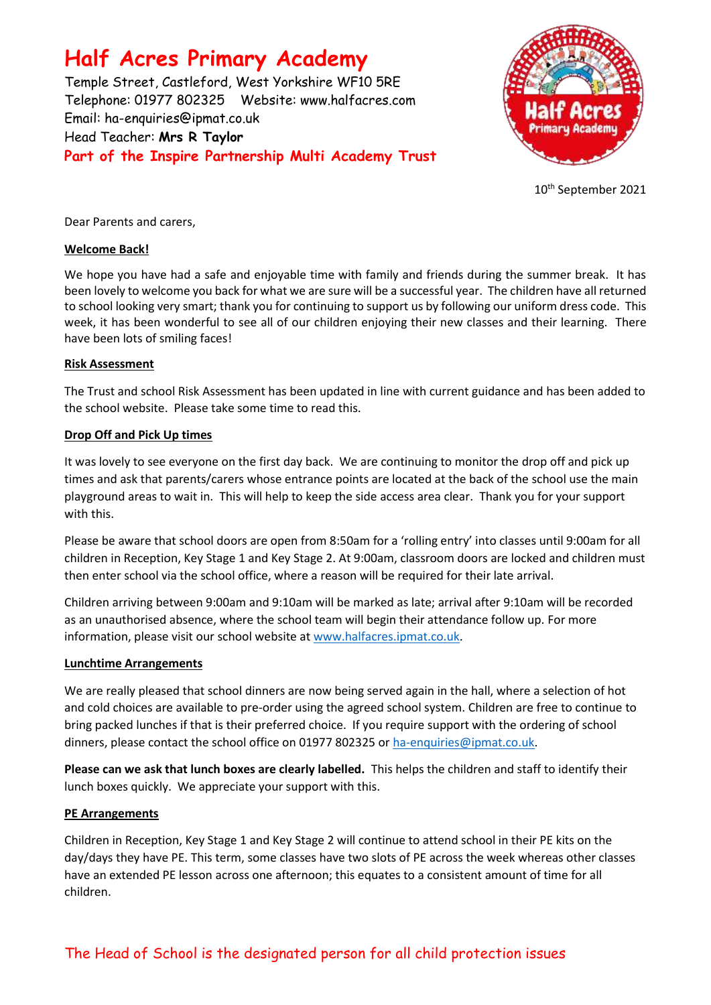# **Half Acres Primary Academy**

Temple Street, Castleford, West Yorkshire WF10 5RE Telephone: 01977 802325 Website: [www.halfacres.com](http://www.halfacres.com/) Email: ha-enquiries@ipmat.co.uk Head Teacher: **Mrs R Taylor Part of the Inspire Partnership Multi Academy Trust**



10th September 2021

Dear Parents and carers,

# **Welcome Back!**

We hope you have had a safe and enjoyable time with family and friends during the summer break. It has been lovely to welcome you back for what we are sure will be a successful year. The children have all returned to school looking very smart; thank you for continuing to support us by following our uniform dress code. This week, it has been wonderful to see all of our children enjoying their new classes and their learning. There have been lots of smiling faces!

# **Risk Assessment**

The Trust and school Risk Assessment has been updated in line with current guidance and has been added to the school website. Please take some time to read this.

# **Drop Off and Pick Up times**

It was lovely to see everyone on the first day back. We are continuing to monitor the drop off and pick up times and ask that parents/carers whose entrance points are located at the back of the school use the main playground areas to wait in. This will help to keep the side access area clear. Thank you for your support with this.

Please be aware that school doors are open from 8:50am for a 'rolling entry' into classes until 9:00am for all children in Reception, Key Stage 1 and Key Stage 2. At 9:00am, classroom doors are locked and children must then enter school via the school office, where a reason will be required for their late arrival.

Children arriving between 9:00am and 9:10am will be marked as late; arrival after 9:10am will be recorded as an unauthorised absence, where the school team will begin their attendance follow up. For more information, please visit our school website at [www.halfacres.ipmat.co.uk.](http://www.halfacres.ipmat.co.uk/)

## **Lunchtime Arrangements**

We are really pleased that school dinners are now being served again in the hall, where a selection of hot and cold choices are available to pre-order using the agreed school system. Children are free to continue to bring packed lunches if that is their preferred choice. If you require support with the ordering of school dinners, please contact the school office on 01977 802325 or [ha-enquiries@ipmat.co.uk.](mailto:ha-enquiries@ipmat.co.uk)

**Please can we ask that lunch boxes are clearly labelled.** This helps the children and staff to identify their lunch boxes quickly. We appreciate your support with this.

# **PE Arrangements**

Children in Reception, Key Stage 1 and Key Stage 2 will continue to attend school in their PE kits on the day/days they have PE. This term, some classes have two slots of PE across the week whereas other classes have an extended PE lesson across one afternoon; this equates to a consistent amount of time for all children.